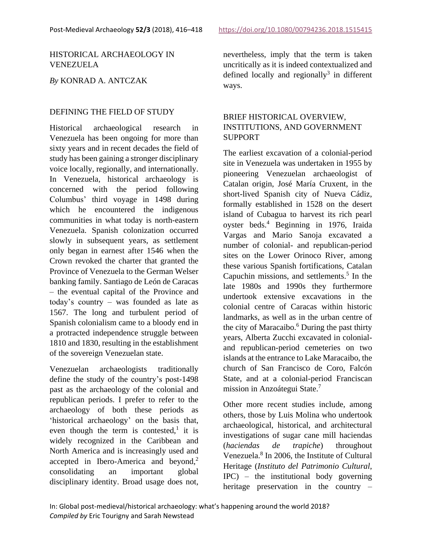### HISTORICAL ARCHAEOLOGY IN VENEZUELA

### *By* KONRAD A. ANTCZAK

#### DEFINING THE FIELD OF STUDY

Historical archaeological research in Venezuela has been ongoing for more than sixty years and in recent decades the field of study has been gaining a stronger disciplinary voice locally, regionally, and internationally. In Venezuela, historical archaeology is concerned with the period following Columbus' third voyage in 1498 during which he encountered the indigenous communities in what today is north-eastern Venezuela. Spanish colonization occurred slowly in subsequent years, as settlement only began in earnest after 1546 when the Crown revoked the charter that granted the Province of Venezuela to the German Welser banking family. Santiago de León de Caracas – the eventual capital of the Province and today's country – was founded as late as 1567. The long and turbulent period of Spanish colonialism came to a bloody end in a protracted independence struggle between 1810 and 1830, resulting in the establishment of the sovereign Venezuelan state.

Venezuelan archaeologists traditionally define the study of the country's post-1498 past as the archaeology of the colonial and republican periods. I prefer to refer to the archaeology of both these periods as 'historical archaeology' on the basis that, even though the term is contested,<sup>1</sup> it is widely recognized in the Caribbean and North America and is increasingly used and accepted in Ibero-America and beyond, 2 consolidating an important global disciplinary identity. Broad usage does not,

nevertheless, imply that the term is taken uncritically as it is indeed contextualized and defined locally and regionally<sup>3</sup> in different ways.

# BRIEF HISTORICAL OVERVIEW, INSTITUTIONS, AND GOVERNMENT **SUPPORT**

The earliest excavation of a colonial-period site in Venezuela was undertaken in 1955 by pioneering Venezuelan archaeologist of Catalan origin, José María Cruxent, in the short-lived Spanish city of Nueva Cádiz, formally established in 1528 on the desert island of Cubagua to harvest its rich pearl oyster beds. <sup>4</sup> Beginning in 1976, Iraida Vargas and Mario Sanoja excavated a number of colonial- and republican-period sites on the Lower Orinoco River, among these various Spanish fortifications, Catalan Capuchin missions, and settlements. 5 In the late 1980s and 1990s they furthermore undertook extensive excavations in the colonial centre of Caracas within historic landmarks, as well as in the urban centre of the city of Maracaibo.<sup>6</sup> During the past thirty years, Alberta Zucchi excavated in colonialand republican-period cemeteries on two islands at the entrance to Lake Maracaibo, the church of San Francisco de Coro, Falcón State, and at a colonial-period Franciscan mission in Anzoátegui State.<sup>7</sup>

Other more recent studies include, among others, those by Luis Molina who undertook archaeological, historical, and architectural investigations of sugar cane mill haciendas (*haciendas de trapiche*) throughout Venezuela. 8 In 2006, the Institute of Cultural Heritage (*Instituto del Patrimonio Cultural*, IPC) – the institutional body governing heritage preservation in the country –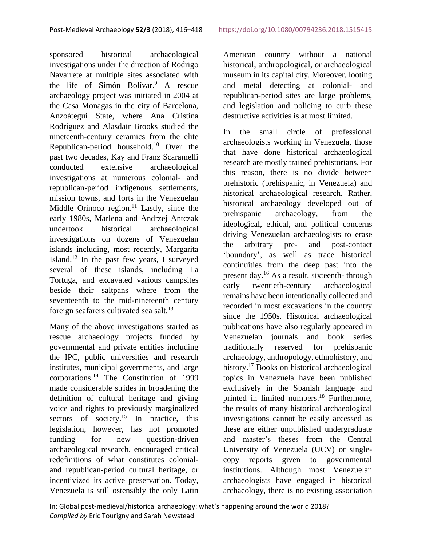sponsored historical archaeological investigations under the direction of Rodrigo Navarrete at multiple sites associated with the life of Simón Bolívar. <sup>9</sup> A rescue archaeology project was initiated in 2004 at the Casa Monagas in the city of Barcelona, Anzoátegui State, where Ana Cristina Rodríguez and Alasdair Brooks studied the nineteenth-century ceramics from the elite Republican-period household.<sup>10</sup> Over the past two decades, Kay and Franz Scaramelli conducted extensive archaeological investigations at numerous colonial- and republican-period indigenous settlements, mission towns, and forts in the Venezuelan Middle Orinoco region.<sup>11</sup> Lastly, since the early 1980s, Marlena and Andrzej Antczak undertook historical archaeological investigations on dozens of Venezuelan islands including, most recently, Margarita Island.<sup>12</sup> In the past few years, I surveyed several of these islands, including La Tortuga, and excavated various campsites beside their saltpans where from the seventeenth to the mid-nineteenth century foreign seafarers cultivated sea salt.<sup>13</sup>

Many of the above investigations started as rescue archaeology projects funded by governmental and private entities including the IPC, public universities and research institutes, municipal governments, and large corporations. <sup>14</sup> The Constitution of 1999 made considerable strides in broadening the definition of cultural heritage and giving voice and rights to previously marginalized sectors of society.<sup>15</sup> In practice, this legislation, however, has not promoted funding for new question-driven archaeological research, encouraged critical redefinitions of what constitutes colonialand republican-period cultural heritage, or incentivized its active preservation. Today, Venezuela is still ostensibly the only Latin

American country without a national historical, anthropological, or archaeological museum in its capital city. Moreover, looting and metal detecting at colonial- and republican-period sites are large problems, and legislation and policing to curb these destructive activities is at most limited.

In the small circle of professional archaeologists working in Venezuela, those that have done historical archaeological research are mostly trained prehistorians. For this reason, there is no divide between prehistoric (prehispanic, in Venezuela) and historical archaeological research. Rather, historical archaeology developed out of prehispanic archaeology, from the ideological, ethical, and political concerns driving Venezuelan archaeologists to erase the arbitrary pre- and post-contact 'boundary', as well as trace historical continuities from the deep past into the present day.<sup>16</sup> As a result, sixteenth- through early twentieth-century archaeological remains have been intentionally collected and recorded in most excavations in the country since the 1950s. Historical archaeological publications have also regularly appeared in Venezuelan journals and book series traditionally reserved for prehispanic archaeology, anthropology, ethnohistory, and history.<sup>17</sup> Books on historical archaeological topics in Venezuela have been published exclusively in the Spanish language and printed in limited numbers.<sup>18</sup> Furthermore, the results of many historical archaeological investigations cannot be easily accessed as these are either unpublished undergraduate and master's theses from the Central University of Venezuela (UCV) or singlecopy reports given to governmental institutions. Although most Venezuelan archaeologists have engaged in historical archaeology, there is no existing association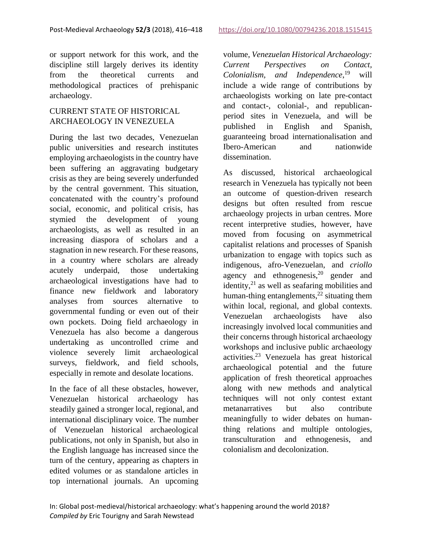or support network for this work, and the discipline still largely derives its identity from the theoretical currents and methodological practices of prehispanic archaeology.

# CURRENT STATE OF HISTORICAL ARCHAEOLOGY IN VENEZUELA

During the last two decades, Venezuelan public universities and research institutes employing archaeologists in the country have been suffering an aggravating budgetary crisis as they are being severely underfunded by the central government. This situation, concatenated with the country's profound social, economic, and political crisis, has stymied the development of young archaeologists, as well as resulted in an increasing diaspora of scholars and a stagnation in new research. For these reasons, in a country where scholars are already acutely underpaid, those undertaking archaeological investigations have had to finance new fieldwork and laboratory analyses from sources alternative to governmental funding or even out of their own pockets. Doing field archaeology in Venezuela has also become a dangerous undertaking as uncontrolled crime and violence severely limit archaeological surveys, fieldwork, and field schools, especially in remote and desolate locations.

In the face of all these obstacles, however, Venezuelan historical archaeology has steadily gained a stronger local, regional, and international disciplinary voice. The number of Venezuelan historical archaeological publications, not only in Spanish, but also in the English language has increased since the turn of the century, appearing as chapters in edited volumes or as standalone articles in top international journals. An upcoming

volume, *Venezuelan Historical Archaeology: Current Perspectives on Contact, Colonialism, and Independence*, <sup>19</sup> will include a wide range of contributions by archaeologists working on late pre-contact and contact-, colonial-, and republicanperiod sites in Venezuela, and will be published in English and Spanish, guaranteeing broad internationalisation and Ibero-American and nationwide dissemination.

As discussed, historical archaeological research in Venezuela has typically not been an outcome of question-driven research designs but often resulted from rescue archaeology projects in urban centres. More recent interpretive studies, however, have moved from focusing on asymmetrical capitalist relations and processes of Spanish urbanization to engage with topics such as indigenous, afro-Venezuelan, and *criollo* agency and ethnogenesis, <sup>20</sup> gender and identity, $^{21}$  as well as seafaring mobilities and human-thing entanglements,<sup>22</sup> situating them within local, regional, and global contexts. Venezuelan archaeologists have also increasingly involved local communities and their concerns through historical archaeology workshops and inclusive public archaeology activities.<sup>23</sup> Venezuela has great historical archaeological potential and the future application of fresh theoretical approaches along with new methods and analytical techniques will not only contest extant metanarratives but also contribute meaningfully to wider debates on humanthing relations and multiple ontologies, transculturation and ethnogenesis, and colonialism and decolonization.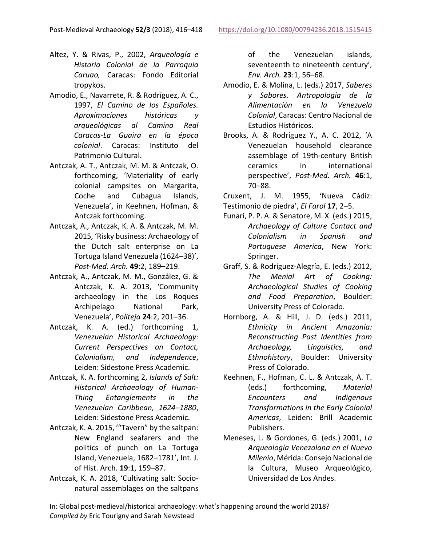- Altez, Y. & Rivas, P., 2002, *Arqueología e Historia Colonial de la Parroquia Caruao,* Caracas: Fondo Editorial tropykos.
- Amodio, E., Navarrete, R. & Rodríguez, A. C., 1997, *El Camino de los Españoles. Aproximaciones históricas y arqueológicas al Camino Real Caracas-La Guaira en la época colonial*. Caracas: Instituto del Patrimonio Cultural.
- Antczak, A. T., Antczak, M. M. & Antczak, O. forthcoming, 'Materiality of early colonial campsites on Margarita, Coche and Cubagua Islands, Venezuela', in Keehnen, Hofman, & Antczak forthcoming.
- Antczak, A., Antczak, K. A. & Antczak, M. M. 2015, 'Risky business: Archaeology of the Dutch salt enterprise on La Tortuga Island Venezuela (1624–38)', *Post-Med. Arch.* **49**:2, 189–219.
- Antczak, A., Antczak, M. M., González, G. & Antczak, K. A. 2013, 'Community archaeology in the Los Roques Archipelago National Park, Venezuela', *Politeja* **24**:2, 201–36.
- Antczak, K. A. (ed.) forthcoming 1, *Venezuelan Historical Archaeology: Current Perspectives on Contact, Colonialism, and Independence*, Leiden: Sidestone Press Academic.
- Antczak, K. A. forthcoming 2, *Islands of Salt: Historical Archaeology of Human-Thing Entanglements in the Venezuelan Caribbean, 1624–1880*, Leiden: Sidestone Press Academic.
- Antczak, K. A. 2015, '"Tavern" by the saltpan: New England seafarers and the politics of punch on La Tortuga Island, Venezuela, 1682–1781', Int. J. of Hist. Arch. **19**:1, 159–87.
- Antczak, K. A. 2018, 'Cultivating salt: Socionatural assemblages on the saltpans

of the Venezuelan islands, seventeenth to nineteenth century', *Env. Arch.* **23**:1, 56–68.

- Amodio, E. & Molina, L. (eds.) 2017, *Saberes y Sabores. Antropología de la Alimentación en la Venezuela Colonial*, Caracas: Centro Nacional de Estudios Históricos.
- Brooks, A. & Rodríguez Y., A. C. 2012, 'A Venezuelan household clearance assemblage of 19th-century British ceramics in international perspective', *Post-Med. Arch.* **46**:1, 70–88.

Cruxent, J. M. 1955, 'Nueva Cádiz: Testimonio de piedra', *El Farol* **17**, 2–5.

- Funari, P. P. A. & Senatore, M. X. (eds.) 2015, *Archaeology of Culture Contact and Colonialism in Spanish and Portuguese America*, New York: Springer.
- Graff, S. & Rodríguez-Alegría, E. (eds.) 2012, *The Menial Art of Cooking: Archaeological Studies of Cooking and Food Preparation*, Boulder: University Press of Colorado.
- Hornborg, A. & Hill, J. D. (eds.) 2011, *Ethnicity in Ancient Amazonia: Reconstructing Past Identities from Archaeology, Linguistics, and Ethnohistory*, Boulder: University Press of Colorado.
- Keehnen, F., Hofman, C. L. & Antczak, A. T. (eds.) forthcoming, *Material Encounters and Indigenous Transformations in the Early Colonial Americas*, Leiden: Brill Academic Publishers.
- Meneses, L. & Gordones, G. (eds.) 2001, *La Arqueología Venezolana en el Nuevo Milenio*, Mérida: Consejo Nacional de la Cultura, Museo Arqueológico, Universidad de Los Andes.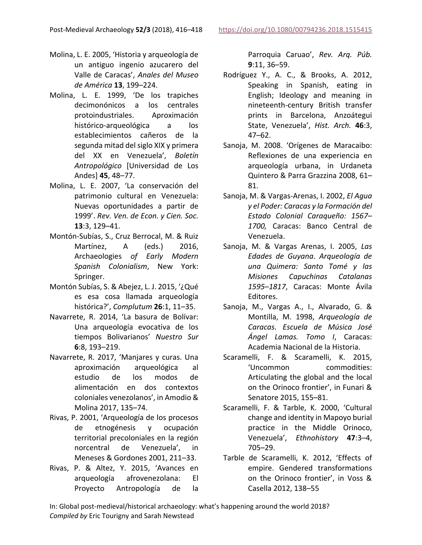- Molina, L. E. 2005, 'Historia y arqueología de un antiguo ingenio azucarero del Valle de Caracas', *Anales del Museo de América* **13**, 199–224.
- Molina, L. E. 1999, 'De los trapiches decimonónicos a los centrales protoindustriales. Aproximación histórico-arqueológica a los establecimientos cañeros de la segunda mitad del siglo XIX y primera del XX en Venezuela', *Boletín Antropológico* [Universidad de Los Andes] **45**, 48–77.
- Molina, L. E. 2007, 'La conservación del patrimonio cultural en Venezuela: Nuevas oportunidades a partir de 1999'. *Rev. Ven. de Econ. y Cien. Soc.* **13**:3, 129–41.
- Montón-Subías, S., Cruz Berrocal, M. & Ruiz Martínez, A (eds.) 2016, Archaeologies *of Early Modern Spanish Colonialism*, New York: Springer.
- Montón Subías, S. & Abejez, L. J. 2015, '¿Qué es esa cosa llamada arqueología histórica?', *Complutum* **26**:1, 11–35.
- Navarrete, R. 2014, 'La basura de Bolívar: Una arqueología evocativa de los tiempos Bolivarianos' *Nuestro Sur*  **6**:8, 193–219.
- Navarrete, R. 2017, 'Manjares y curas. Una aproximación arqueológica al estudio de los modos de alimentación en dos contextos coloniales venezolanos', in Amodio & Molina 2017, 135–74.
- Rivas, P. 2001, 'Arqueología de los procesos de etnogénesis y ocupación territorial precoloniales en la región norcentral de Venezuela', in Meneses & Gordones 2001, 211–33.
- Rivas, P. & Altez, Y. 2015, 'Avances en arqueología afrovenezolana: El Proyecto Antropología de la

Parroquia Caruao', *Rev. Arq. Púb.* **9**:11, 36–59.

- Rodríguez Y., A. C., & Brooks, A. 2012, Speaking in Spanish, eating in English; Ideology and meaning in nineteenth-century British transfer prints in Barcelona, Anzoátegui State, Venezuela', *Hist. Arch.* **46**:3, 47–62.
- Sanoja, M. 2008. 'Orígenes de Maracaibo: Reflexiones de una experiencia en arqueología urbana, in Urdaneta Quintero & Parra Grazzina 2008, 61– 81.
- Sanoja, M. & Vargas-Arenas, I. 2002, *El Agua y el Poder: Caracas y la Formación del Estado Colonial Caraqueño: 1567– 1700,* Caracas: Banco Central de Venezuela.
- Sanoja, M. & Vargas Arenas, I. 2005, *Las Edades de Guyana. Arqueología de una Quimera: Santo Tomé y las Misiones Capuchinas Catalanas 1595–1817*, Caracas: Monte Ávila Editores.
- Sanoja, M., Vargas A., I., Alvarado, G. & Montilla, M. 1998, *Arqueología de Caracas. Escuela de Música José Ángel Lamas. Tomo I*, Caracas: Academia Nacional de la Historia.
- Scaramelli, F. & Scaramelli, K. 2015, 'Uncommon commodities: Articulating the global and the local on the Orinoco frontier', in Funari & Senatore 2015, 155–81.
- Scaramelli, F. & Tarble, K. 2000, 'Cultural change and identity in Mapoyo burial practice in the Middle Orinoco, Venezuela', *Ethnohistory* **47**:3–4, 705–29.
- Tarble de Scaramelli, K. 2012, 'Effects of empire. Gendered transformations on the Orinoco frontier', in Voss & Casella 2012, 138–55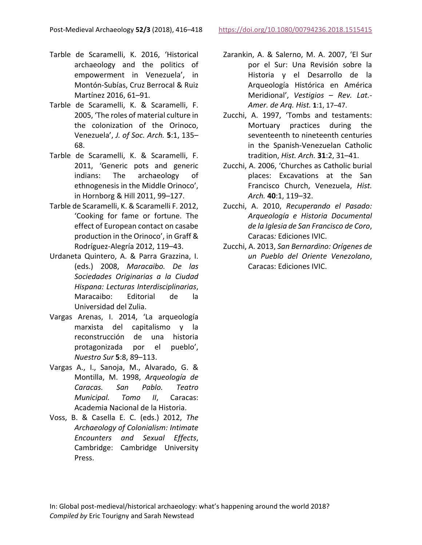- Tarble de Scaramelli, K. 2016, 'Historical archaeology and the politics of empowerment in Venezuela', in Montón-Subías, Cruz Berrocal & Ruiz Martínez 2016, 61–91.
- Tarble de Scaramelli, K. & Scaramelli, F. 2005, 'The roles of material culture in the colonization of the Orinoco, Venezuela', *J. of Soc. Arch.* **5**:1, 135– 68.
- Tarble de Scaramelli, K. & Scaramelli, F. 2011, 'Generic pots and generic indians: The archaeology of ethnogenesis in the Middle Orinoco', in Hornborg & Hill 2011, 99–127.
- Tarble de Scaramelli, K. & Scaramelli F. 2012, 'Cooking for fame or fortune. The effect of European contact on casabe production in the Orinoco', in Graff & Rodríguez-Alegría 2012, 119–43.
- Urdaneta Quintero, A. & Parra Grazzina, I. (eds.) 2008, *Maracaibo. De las Sociedades Originarias a la Ciudad Hispana: Lecturas Interdisciplinarias*, Maracaibo: Editorial de la Universidad del Zulia.
- Vargas Arenas, I. 2014, 'La arqueología marxista del capitalismo y la reconstrucción de una historia protagonizada por el pueblo', *Nuestro Sur* **5**:8, 89–113.
- Vargas A., I., Sanoja, M., Alvarado, G. & Montilla, M. 1998, *Arqueología de Caracas. San Pablo. Teatro Municipal. Tomo II*, Caracas: Academia Nacional de la Historia.
- Voss, B. & Casella E. C. (eds.) 2012, *The Archaeology of Colonialism: Intimate Encounters and Sexual Effects*, Cambridge: Cambridge University Press.
- Zarankin, A. & Salerno, M. A. 2007, 'El Sur por el Sur: Una Revisión sobre la Historia y el Desarrollo de la Arqueología Histórica en América Meridional', *Vestigios – Rev. Lat.- Amer. de Arq. Hist.* **1**:1, 17–47.
- Zucchi, A. 1997, 'Tombs and testaments: Mortuary practices during the seventeenth to nineteenth centuries in the Spanish-Venezuelan Catholic tradition, *Hist. Arch.* **31**:2, 31–41.
- Zucchi, A. 2006, 'Churches as Catholic burial places: Excavations at the San Francisco Church, Venezuela, *Hist. Arch.* **40**:1, 119–32.
- Zucchi, A. 2010, *Recuperando el Pasado: Arqueología e Historia Documental de la Iglesia de San Francisco de Coro*, Caracas*:* Ediciones IVIC.
- Zucchi, A. 2013, *San Bernardino: Orígenes de un Pueblo del Oriente Venezolano*, Caracas: Ediciones IVIC.